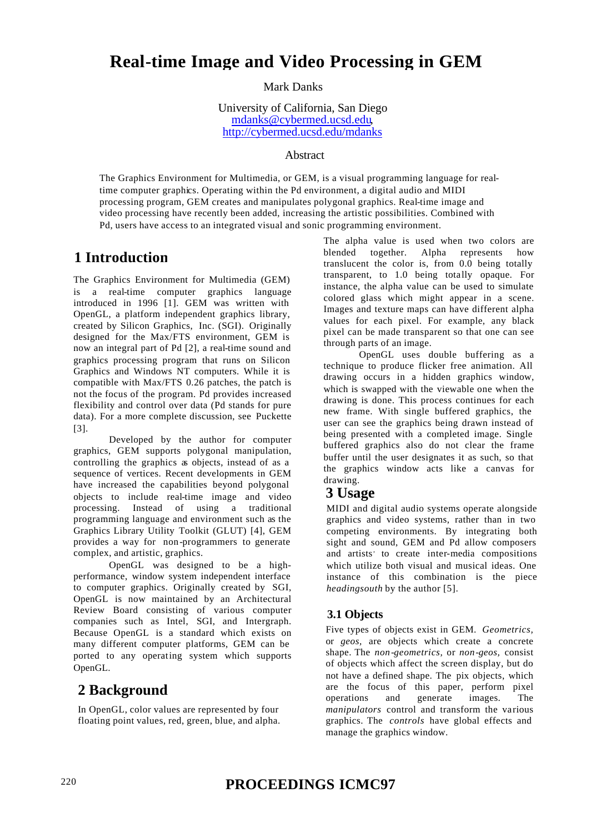# **Real-time Image and Video Processing in GEM**

#### Mark Danks

University of California, San Diego mdanks@cybermed.ucsd.edu, http://cybermed.ucsd.edu/mdanks

#### Abstract

The Graphics Environment for Multimedia, or GEM, is a visual programming language for realtime computer graphics. Operating within the Pd environment, a digital audio and MIDI processing program, GEM creates and manipulates polygonal graphics. Real-time image and video processing have recently been added, increasing the artistic possibilities. Combined with Pd, users have access to an integrated visual and sonic programming environment.

### **1 Introduction**

The Graphics Environment for Multimedia (GEM) is a real-time computer graphics language introduced in 1996 [1]. GEM was written with OpenGL, a platform independent graphics library, created by Silicon Graphics, Inc. (SGI). Originally designed for the Max/FTS environment, GEM is now an integral part of Pd [2], a real-time sound and graphics processing program that runs on Silicon Graphics and Windows NT computers. While it is compatible with Max/FTS 0.26 patches, the patch is not the focus of the program. Pd provides increased flexibility and control over data (Pd stands for pure data). For a more complete discussion, see Puckette [3].

Developed by the author for computer graphics, GEM supports polygonal manipulation, controlling the graphics as objects, instead of as a sequence of vertices. Recent developments in GEM have increased the capabilities beyond polygonal objects to include real-time image and video processing. Instead of using a traditional programming language and environment such as the Graphics Library Utility Toolkit (GLUT) [4], GEM provides a way for non-programmers to generate complex, and artistic, graphics.

OpenGL was designed to be a highperformance, window system independent interface to computer graphics. Originally created by SGI, OpenGL is now maintained by an Architectural Review Board consisting of various computer companies such as Intel, SGI, and Intergraph. Because OpenGL is a standard which exists on many different computer platforms, GEM can be ported to any operating system which supports OpenGL.

### **2 Background**

In OpenGL, color values are represented by four floating point values, red, green, blue, and alpha. The alpha value is used when two colors are blended together. Alpha represents how translucent the color is, from 0.0 being totally transparent, to 1.0 being totally opaque. For instance, the alpha value can be used to simulate colored glass which might appear in a scene. Images and texture maps can have different alpha values for each pixel. For example, any black pixel can be made transparent so that one can see through parts of an image.

OpenGL uses double buffering as a technique to produce flicker free animation. All drawing occurs in a hidden graphics window, which is swapped with the viewable one when the drawing is done. This process continues for each new frame. With single buffered graphics, the user can see the graphics being drawn instead of being presented with a completed image. Single buffered graphics also do not clear the frame buffer until the user designates it as such, so that the graphics window acts like a canvas for drawing.

### **3 Usage**

MIDI and digital audio systems operate alongside graphics and video systems, rather than in two competing environments. By integrating both sight and sound, GEM and Pd allow composers and artists' to create inter-media compositions which utilize both visual and musical ideas. One instance of this combination is the piece *headingsouth* by the author [5].

### **3.1 Objects**

Five types of objects exist in GEM. *Geometrics,*  or *geos,* are objects which create a concrete shape. The *non-geometrics,* or *non-geos,* consist of objects which affect the screen display, but do not have a defined shape. The pix objects, which are the focus of this paper, perform pixel operations and generate images. The *manipulators* control and transform the various graphics. The *controls* have global effects and manage the graphics window.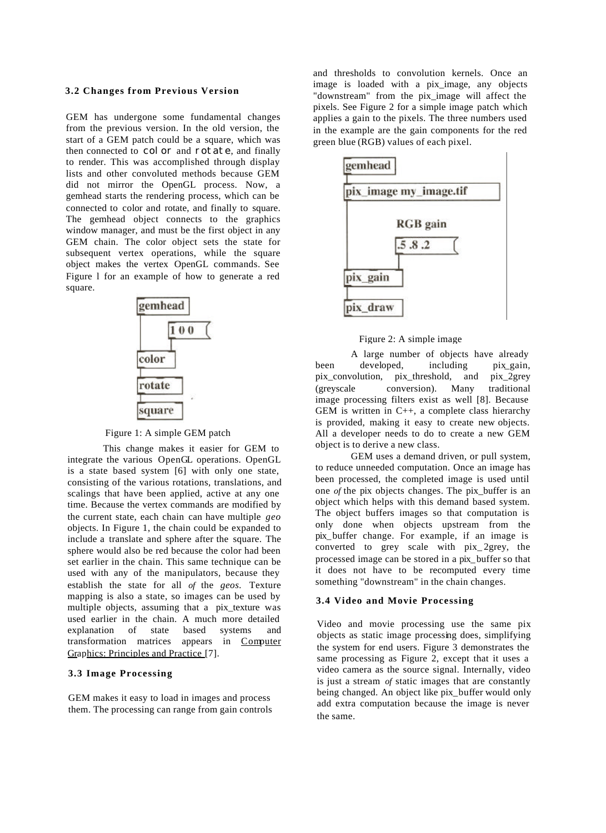#### **3.2 Changes from Previous Version**

GEM has undergone some fundamental changes from the previous version. In the old version, the start of a GEM patch could be a square, which was then connected to color and rotate, and finally to render. This was accomplished through display lists and other convoluted methods because GEM did not mirror the OpenGL process. Now, a gemhead starts the rendering process, which can be connected to color and rotate, and finally to square. The gemhead object connects to the graphics window manager, and must be the first object in any GEM chain. The color object sets the state for subsequent vertex operations, while the square object makes the vertex OpenGL commands. See Figure l for an example of how to generate a red square.



Figure 1: A simple GEM patch

This change makes it easier for GEM to integrate the various OpenGL operations. OpenGL is a state based system [6] with only one state, consisting of the various rotations, translations, and scalings that have been applied, active at any one time. Because the vertex commands are modified by the current state, each chain can have multiple *geo*  objects. In Figure 1, the chain could be expanded to include a translate and sphere after the square. The sphere would also be red because the color had been set earlier in the chain. This same technique can be used with any of the manipulators, because they establish the state for all *of* the *geos.* Texture mapping is also a state, so images can be used by multiple objects, assuming that a pix\_texture was used earlier in the chain. A much more detailed explanation of state based systems and transformation matrices appears in Computer Graphics: Principles and Practice [7].

#### **3.3 Image Processing**

GEM makes it easy to load in images and process them. The processing can range from gain controls and thresholds to convolution kernels. Once an image is loaded with a pix\_image, any objects "downstream" from the pix\_image will affect the pixels. See Figure 2 for a simple image patch which applies a gain to the pixels. The three numbers used in the example are the gain components for the red green blue (RGB) values of each pixel.



Figure 2: A simple image

A large number of objects have already been developed, including pix gain, pix\_convolution, pix\_threshold, and pix\_2grey (greyscale conversion). Many traditional image processing filters exist as well [8]. Because GEM is written in  $C_{++}$ , a complete class hierarchy is provided, making it easy to create new objects. All a developer needs to do to create a new GEM object is to derive a new class.

GEM uses a demand driven, or pull system, to reduce unneeded computation. Once an image has been processed, the completed image is used until one *of* the pix objects changes. The pix\_buffer is an object which helps with this demand based system. The object buffers images so that computation is only done when objects upstream from the pix\_buffer change. For example, if an image is converted to grey scale with pix\_ 2grey, the processed image can be stored in a pix\_buffer so that it does not have to be recomputed every time something "downstream" in the chain changes.

#### **3.4 Video and Movie Processing**

Video and movie processing use the same pix objects as static image processing does, simplifying the system for end users. Figure 3 demonstrates the same processing as Figure 2, except that it uses a video camera as the source signal. Internally, video is just a stream *of* static images that are constantly being changed. An object like pix\_buffer would only add extra computation because the image is never the same.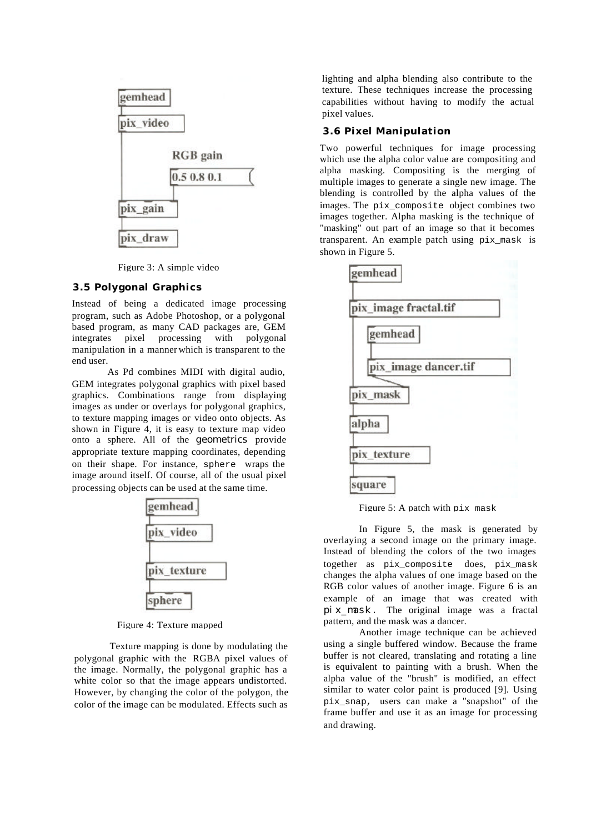

Figure 3: A simple video

#### **3.5 Polygonal Graphics**

Instead of being a dedicated image processing program, such as Adobe Photoshop, or a polygonal based program, as many CAD packages are, GEM integrates pixel processing with polygonal manipulation in a manner which is transparent to the end user.

As Pd combines MIDI with digital audio, GEM integrates polygonal graphics with pixel based graphics. Combinations range from displaying images as under or overlays for polygonal graphics, to texture mapping images or video onto objects. As shown in Figure 4, it is easy to texture map video onto a sphere. All of the *geometrics* provide appropriate texture mapping coordinates, depending on their shape. For instance, sphere wraps the image around itself. Of course, all of the usual pixel processing objects can be used at the same time.



Figure 4: Texture mapped

Texture mapping is done by modulating the polygonal graphic with the RGBA pixel values of the image. Normally, the polygonal graphic has a white color so that the image appears undistorted. However, by changing the color of the polygon, the color of the image can be modulated. Effects such as

lighting and alpha blending also contribute to the texture. These techniques increase the processing capabilities without having to modify the actual pixel values.

#### **3.6 Pixel Manipulation**

Two powerful techniques for image processing which use the alpha color value are compositing and alpha masking. Compositing is the merging of multiple images to generate a single new image. The blending is controlled by the alpha values of the images. The pix\_composite object combines two images together. Alpha masking is the technique of "masking" out part of an image so that it becomes transparent. An example patch using pix\_mask is shown in Figure 5.



Figure 5: A patch with pix mask

In Figure 5, the mask is generated by overlaying a second image on the primary image. Instead of blending the colors of the two images together as pix\_composite does, pix\_mask changes the alpha values of one image based on the RGB color values of another image. Figure 6 is an example of an image that was created with pix\_mask. The original image was a fractal pattern, and the mask was a dancer.

Another image technique can be achieved using a single buffered window. Because the frame buffer is not cleared, translating and rotating a line is equivalent to painting with a brush. When the alpha value of the "brush" is modified, an effect similar to water color paint is produced [9]. Using pix\_snap, users can make a "snapshot" of the frame buffer and use it as an image for processing and drawing.